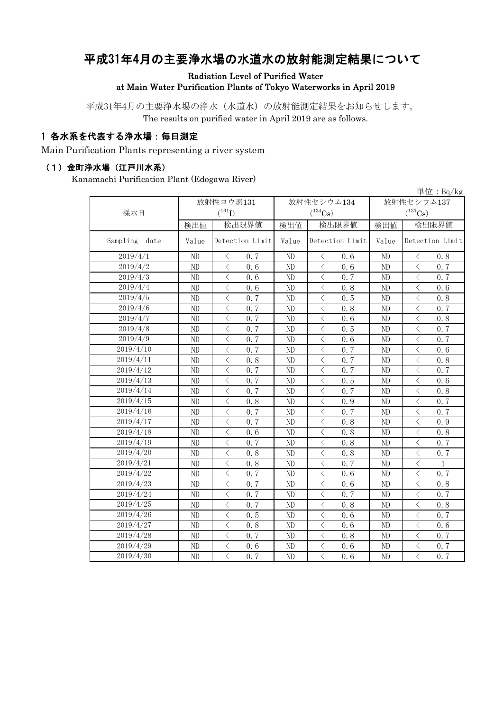# 平成31年4月の主要浄水場の水道水の放射能測定結果について

Radiation Level of Purified Water at Main Water Purification Plants of Tokyo Waterworks in April 2019

平成31年4月の主要浄水場の浄水(水道水)の放射能測定結果をお知らせします。 The results on purified water in April 2019 are as follows.

### 1 各水系を代表する浄水場:毎日測定

Main Purification Plants representing a river system

#### (1)金町浄水場(江戸川水系)

Kanamachi Purification Plant (Edogawa River)

|                  |                |                                                 |                |                                                 |            | $\vert \dot{\Xi} \vert \dot{\Xi}$ : Bq/kg       |
|------------------|----------------|-------------------------------------------------|----------------|-------------------------------------------------|------------|-------------------------------------------------|
|                  | 放射性ヨウ素131      |                                                 |                | 放射性セシウム134                                      | 放射性セシウム137 |                                                 |
| 採水日              |                | $(^{131}I)$                                     |                | $(^{134}Cs)$                                    |            | $(^{137}Cs)$                                    |
|                  | 検出値            | 検出限界値                                           | 検出値            | 検出限界値                                           | 検出値        | 検出限界値                                           |
| Sampling<br>date | Value          | Detection Limit                                 | Value          | Detection Limit                                 | Value      | Detection Limit                                 |
| 2019/4/1         | ND             | 0.7<br>$\langle$                                | ND             | 0.6<br>$\langle$                                | ND         | 0.8<br>$\langle$                                |
| 2019/4/2         | ND             | $\overline{\left\langle \right\rangle }$<br>0.6 | ND             | $\langle$<br>0.6                                | ND         | $\langle$<br>0.7                                |
| 2019/4/3         | ND             | $\lt$<br>0.6                                    | ND             | $\langle$<br>0.7                                | ND         | $\langle$<br>0.7                                |
| 2019/4/4         | ND             | $\langle$<br>0.6                                | ND             | $\langle$<br>0.8                                | ${\rm ND}$ | $\langle$<br>0.6                                |
| 2019/4/5         | ND             | $\langle$<br>0.7                                | ND             | $\lt$<br>0.5                                    | ND         | $\lt$<br>0.8                                    |
| 2019/4/6         | ND             | $\langle$<br>0.7                                | ND             | $\langle$<br>0.8                                | ND         | $\langle$<br>0.7                                |
| 2019/4/7         | ND             | $\overline{\left\langle \right\rangle }$<br>0.7 | ND             | $\langle$<br>0.6                                | ND         | $\overline{\left\langle \right\rangle }$<br>0.8 |
| 2019/4/8         | ND             | $\hspace{0.5cm}\mathopen{<}$<br>0.7             | ND             | $\lt$<br>0.5                                    | ND         | $\lt$<br>0.7                                    |
| 2019/4/9         | ND             | $\lt$<br>0.7                                    | ND             | $\lt$<br>0.6                                    | ND         | $\langle$<br>0.7                                |
| 2019/4/10        | ND             | $\lt$<br>0.7                                    | ND             | $\langle$<br>0.7                                | ND         | $\langle$<br>0.6                                |
| 2019/4/11        | ND             | $\langle$<br>0.8                                | ND             | $\langle$<br>0.7                                | ${\rm ND}$ | $\langle$<br>0.8                                |
| 2019/4/12        | ND             | $\langle$<br>0.7                                | ND             | $\lt$<br>0.7                                    | ND         | $\langle$<br>0.7                                |
| 2019/4/13        | ND             | $\overline{\left\langle \right\rangle }$<br>0.7 | ND             | $\overline{\left\langle \right\rangle }$<br>0.5 | ND         | $\langle$<br>0.6                                |
| 2019/4/14        | ND             | $\overline{\left\langle \right\rangle }$<br>0.7 | ND             | $\overline{\left\langle \right\rangle }$<br>0.7 | ND         | $\langle$<br>0.8                                |
| 2019/4/15        | ND             | $\langle$<br>0.8                                | ND             | $\langle$<br>0.9                                | ND         | $\lt$<br>0.7                                    |
| 2019/4/16        | ND             | $\overline{\left\langle \right\rangle }$<br>0.7 | ND             | $\overline{\left\langle \right\rangle }$<br>0.7 | ND         | $\langle$<br>0.7                                |
| 2019/4/17        | N <sub>D</sub> | $\overline{\left\langle \right\rangle }$<br>0.7 | N <sub>D</sub> | $\langle$<br>0.8                                | ND         | $\langle$<br>0.9                                |
| 2019/4/18        | ND             | $\lt$<br>0.6                                    | ND             | $\langle$<br>0.8                                | ND         | $\lt$<br>0.8                                    |
| 2019/4/19        | ND             | $\overline{\left\langle \right\rangle }$<br>0.7 | ND             | $\langle$<br>0.8                                | ND         | $\langle$<br>0.7                                |
| 2019/4/20        | ND             | $\langle$<br>0.8                                | ND             | $\lt$<br>0.8                                    | ND         | $\langle$<br>0.7                                |
| 2019/4/21        | ND             | $\langle$<br>0.8                                | ND             | $\lt$<br>0.7                                    | ND         | $\lt$<br>1                                      |
| 2019/4/22        | ND             | $\hspace{0.5cm}\mathopen{<}$<br>0.7             | ND             | $\lt$<br>0.6                                    | ND         | $\lt$<br>0, 7                                   |
| 2019/4/23        | ND             | $\langle$<br>0.7                                | ND             | $\lt$<br>0.6                                    | ND         | $\lt$<br>0.8                                    |
| 2019/4/24        | ND             | $\langle$<br>0.7                                | ND             | $\langle$<br>0.7                                | ND         | $\lt$<br>0.7                                    |
| 2019/4/25        | ND             | $\lt$<br>0.7                                    | ND             | $\langle$<br>0.8                                | ND         | $\lt$<br>0.8                                    |
| 2019/4/26        | ND             | $\overline{\left\langle \right\rangle }$<br>0.5 | ND             | $\overline{\left\langle \right\rangle }$<br>0.6 | ND         | $\overline{\left\langle \right\rangle }$<br>0.7 |
| 2019/4/27        | N <sub>D</sub> | $\langle$<br>0.8                                | ND             | $\langle$<br>0.6                                | ND         | $\lt$<br>0.6                                    |
| 2019/4/28        | ND             | $\lt$<br>0.7                                    | ND             | $\lt$<br>0.8                                    | ND         | $\langle$<br>0.7                                |
| 2019/4/29        | ND             | $\langle$<br>0.6                                | ND             | $\lt$<br>0.6                                    | ND         | $\lt$<br>0.7                                    |
| 2019/4/30        | ND             | $\overline{\left\langle \right\rangle }$<br>0.7 | ND             | $\langle$<br>0.6                                | ND         | $\langle$<br>0.7                                |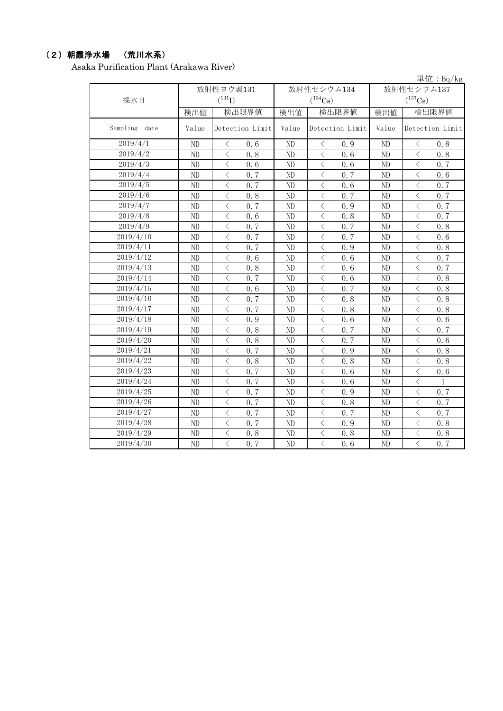## (2)朝霞浄水場 (荒川水系)

Asaka Purification Plant (Arakawa River)

|               |           |                                                                                                                                                                                     |                |                             |                 | 早位: $Bq/Kg$                                     |
|---------------|-----------|-------------------------------------------------------------------------------------------------------------------------------------------------------------------------------------|----------------|-----------------------------|-----------------|-------------------------------------------------|
|               | 放射性ヨウ素131 |                                                                                                                                                                                     |                | 放射性セシウム134                  | 放射性セシウム137      |                                                 |
| 採水日           |           | $(^{131}I)$                                                                                                                                                                         |                | $(^{134}Cs)$                |                 | $(^{137}\mathrm{Cs})$                           |
|               | 検出値       | 検出限界値                                                                                                                                                                               | 検出値            | 検出限界値                       | 検出値             | 検出限界値                                           |
| Sampling date | Value     | Detection Limit                                                                                                                                                                     | Value          | Detection Limit             | Value           | Detection Limit                                 |
| 2019/4/1      | ND        | 0.6<br>$\lt$                                                                                                                                                                        | ND             | 0.9<br>$\lt$                | ND              | 0.8<br>$\lt$                                    |
| 2019/4/2      | ND        | $\langle$<br>0.8                                                                                                                                                                    | ND             | $\langle$<br>0.6            | ND              | $\langle$<br>0.8                                |
| 2019/4/3      | ND        | $\langle$<br>0.6                                                                                                                                                                    | ND             | $\langle$<br>0.6            | ND              | $\langle$<br>0.7                                |
| 2019/4/4      | ND        | $\langle$<br>0.7                                                                                                                                                                    | ND             | $\langle$<br>0.7            | ND              | $\langle$<br>0.6                                |
| 2019/4/5      | ND        | $\langle$<br>0.7                                                                                                                                                                    | ND             | $\overline{\langle}$<br>0.6 | ND              | $\overline{\langle}$<br>0.7                     |
| 2019/4/6      | ND        | $\overline{\left\langle \right. }% ,\left\langle \overline{\left\langle \right. }% ,\left\langle \overline{\left\langle \right. }\right\rangle \right\rangle \left. \right.$<br>0.8 | ND             | $\,$ $\,$ $\,$<br>0.7       | ND              | $\langle$<br>0.7                                |
| 2019/4/7      | ND        | $\langle$<br>0.7                                                                                                                                                                    | ND             | $\lt$<br>0.9                | ND              | $\lt$<br>0.7                                    |
| 2019/4/8      | ND        | $\langle$<br>0.6                                                                                                                                                                    | ND             | $\langle$<br>0.8            | ND              | $\langle$<br>0.7                                |
| 2019/4/9      | ND        | $\langle$<br>0.7                                                                                                                                                                    | N <sub>D</sub> | $\lt$<br>0.7                | ND              | $\langle$<br>0.8                                |
| 2019/4/10     | ND        | $\langle$<br>0.7                                                                                                                                                                    | N <sub>D</sub> | $\langle$<br>0.7            | ND              | $\langle$<br>0.6                                |
| 2019/4/11     | ND        | $\langle$<br>0.7                                                                                                                                                                    | ND             | $\langle$<br>0.9            | ND              | $\langle$<br>0.8                                |
| 2019/4/12     | ND        | $\lt$<br>0.6                                                                                                                                                                        | ND             | $\lt$<br>0.6                | ND              | $\lt$<br>0.7                                    |
| 2019/4/13     | ND        | $\lt$<br>0.8                                                                                                                                                                        | ND             | $\lt$<br>0.6                | ND              | $\lt$<br>0.7                                    |
| 2019/4/14     | ND        | $\langle$<br>0.7                                                                                                                                                                    | ND             | $\langle$<br>0.6            | ND              | $\langle$<br>0.8                                |
| 2019/4/15     | ND        | $\langle$<br>0.6                                                                                                                                                                    | ND             | $\langle$<br>0.7            | ND              | $\langle$<br>0.8                                |
| 2019/4/16     | ND        | $\langle$<br>0.7                                                                                                                                                                    | ND             | $\langle$<br>0.8            | ND              | $\overline{\langle}$<br>0.8                     |
| 2019/4/17     | ND        | $\langle$<br>0, 7                                                                                                                                                                   | ND             | $\,$ $\,$ $\,$<br>0.8       | ND              | $\,$ $\,$ $\,$<br>0.8                           |
| 2019/4/18     | ND        | $\langle$<br>0.9                                                                                                                                                                    | ND             | $\langle$<br>0.6            | ND              | $\langle$<br>0.6                                |
| 2019/4/19     | ND        | $\overline{\langle}$<br>0.8                                                                                                                                                         | N <sub>D</sub> | $\overline{\langle}$<br>0.7 | ND              | $\overline{\langle}$<br>0.7                     |
| 2019/4/20     | ND        | $\langle$<br>0.8                                                                                                                                                                    | ND             | $\lt$<br>0.7                | ND              | $\lt$<br>0.6                                    |
| 2019/4/21     | ND        | $\lt$<br>0.7                                                                                                                                                                        | N <sub>D</sub> | $\langle$<br>0.9            | ND              | $\lt$<br>0.8                                    |
| 2019/4/22     | ND        | $\lt$<br>0.8                                                                                                                                                                        | ND             | $\langle$<br>0.8            | ND              | $\langle$<br>0.8                                |
| 2019/4/23     | ND        | $\langle$<br>0.7                                                                                                                                                                    | N <sub>D</sub> | $\langle$<br>0.6            | ND              | $\langle$<br>0.6                                |
| 2019/4/24     | ND        | $\lt$<br>0.7                                                                                                                                                                        | ND             | $\hspace{0.1mm} <$<br>0.6   | ND              | $\lt$<br>$\mathbf{1}$                           |
| 2019/4/25     | ND        | $\lt$<br>0.7                                                                                                                                                                        | ND             | $\langle$<br>0.9            | ND              | $\langle$<br>0.7                                |
| 2019/4/26     | ND        | $\langle$<br>0.7                                                                                                                                                                    | ND             | $\langle$<br>0.8            | ND              | $\langle$<br>0.7                                |
| 2019/4/27     | ND        | $\langle$<br>0.7                                                                                                                                                                    | ND             | $\langle$<br>0.7            | ND              | $\langle$<br>0.7                                |
| 2019/4/28     | ND        | $\langle$<br>0, 7                                                                                                                                                                   | ND             | $\langle$<br>0.9            | ND              | $\overline{\langle}$<br>0.8                     |
| 2019/4/29     | ND        | $\langle$<br>0.8                                                                                                                                                                    | ND             | $\langle$<br>0.8            | ND              | $\overline{\left\langle \right\rangle }$<br>0.8 |
| 2019/4/30     | ND        | $\overline{\langle}$<br>0, 7                                                                                                                                                        | ND             | $\overline{\langle}$<br>0.6 | $\overline{ND}$ | $\overline{\langle}$<br>0, 7                    |

単位:Bq/kg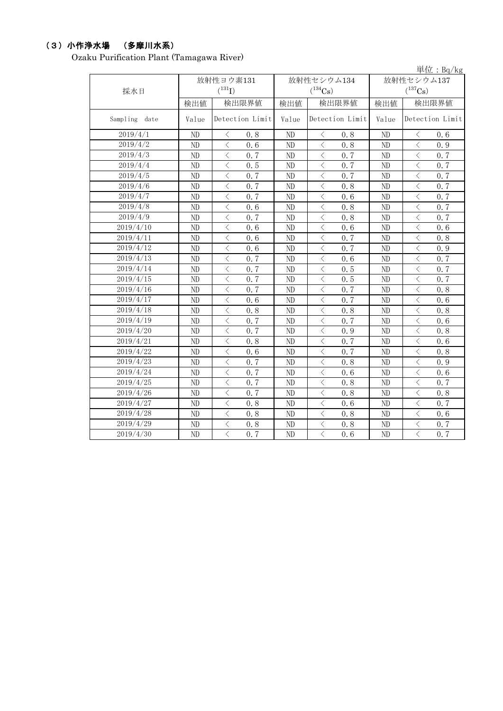## (3)小作浄水場 (多摩川水系)

Ozaku Purification Plant (Tamagawa River)

|                  |       |                                                 |            |                  |       | 単位: Bq/kg                                       |
|------------------|-------|-------------------------------------------------|------------|------------------|-------|-------------------------------------------------|
|                  |       | 放射性ヨウ素131                                       | 放射性セシウム134 |                  |       | 放射性セシウム137                                      |
| 採水日              |       | $(^{131}I)$                                     |            | $(^{134}Cs)$     |       | $(^{137}Cs)$                                    |
|                  | 検出値   | 検出限界値                                           | 検出値        | 検出限界値            | 検出値   | 検出限界値                                           |
| Sampling<br>date | Value | Detection Limit                                 | Value      | Detection Limit  | Value | Detection Limit                                 |
| 2019/4/1         | ND    | $\langle$<br>0.8                                | ND         | $\, \leq$<br>0.8 | ND    | $\langle$<br>0.6                                |
| 2019/4/2         | ND    | $\lt$<br>0.6                                    | ND         | $\langle$<br>0.8 | ND    | $\langle$<br>0.9                                |
| 2019/4/3         | ND    | $\lt$<br>0.7                                    | ND         | $\, < \,$<br>0.7 | ND    | $\,$ $\,$ $\,$<br>0.7                           |
| 2019/4/4         | ND    | $\lt$<br>0.5                                    | ND         | $\lt$<br>0.7     | ND    | $\,$ $\,$ $\,$<br>0.7                           |
| 2019/4/5         | ND    | $\lt$<br>0.7                                    | ND         | $\lt$<br>0.7     | ND    | $\hspace{0.5cm}\big\langle$<br>0.7              |
| 2019/4/6         | ND    | $\langle$<br>0, 7                               | ND         | $\langle$<br>0.8 | ND    | $\langle$<br>0.7                                |
| 2019/4/7         | ND    | $\langle$<br>0.7                                | ND         | $\langle$<br>0.6 | ND    | $\langle$<br>0.7                                |
| 2019/4/8         | ND    | $\langle$<br>0.6                                | ND         | $\langle$<br>0.8 | ND    | $\overline{\left\langle \right\rangle }$<br>0.7 |
| 2019/4/9         | ND    | $\langle$<br>0.7                                | ND         | $\langle$<br>0.8 | ND    | $\overline{\langle}$<br>0.7                     |
| 2019/4/10        | ND    | $\langle$<br>0.6                                | ND         | $\langle$<br>0.6 | ND    | $\overline{\left\langle \right\rangle }$<br>0.6 |
| 2019/4/11        | ND    | $\langle$<br>0.6                                | ND         | $\langle$<br>0.7 | ND    | $\overline{\left\langle \right\rangle }$<br>0.8 |
| 2019/4/12        | ND    | $\langle$<br>0.6                                | ND         | $\langle$<br>0.7 | ND    | $\,$ $\,$ $\,$<br>0.9                           |
| 2019/4/13        | ND    | $\langle$<br>0.7                                | ND         | $\lt$<br>0.6     | ND    | $\,$ $\,$ $\,$<br>0.7                           |
| 2019/4/14        | ND    | $\overline{\left\langle \right\rangle }$<br>0.7 | ND         | $\langle$<br>0.5 | ND    | $\overline{\langle}$<br>0.7                     |
| 2019/4/15        | ND    | $\lt$<br>0.7                                    | ND         | $\langle$<br>0.5 | ND    | $\langle$<br>0.7                                |
| 2019/4/16        | ND    | $\langle$<br>0.7                                | ${\rm ND}$ | $\langle$<br>0.7 | ND    | $\lt$<br>0.8                                    |
| 2019/4/17        | ND    | $\lt$<br>0.6                                    | ND         | $\lt$<br>0.7     | ND    | $\lt$<br>0.6                                    |
| 2019/4/18        | ND    | $\lt$<br>0.8                                    | ND         | $\lt$<br>0.8     | ND    | $\lt$<br>0.8                                    |
| 2019/4/19        | ND    | $\lt$<br>0, 7                                   | ND         | $\lt$<br>0.7     | ND    | $\overline{\left\langle \right\rangle }$<br>0.6 |
| 2019/4/20        | ND    | $\langle$<br>0, 7                               | ND         | $\lt$<br>0.9     | ND    | $\,$ $\,$ $\,$<br>0.8                           |
| 2019/4/21        | ND    | $\langle$<br>0.8                                | ND         | $\lt$<br>0, 7    | ND    | $\lt$<br>0.6                                    |
| 2019/4/22        | ND    | $\lt$<br>0.6                                    | ND         | $\lt$<br>0.7     | ND    | $\lt$<br>0.8                                    |
| 2019/4/23        | ND    | $\langle$<br>0, 7                               | ND         | $\lt$<br>0.8     | ND    | $\lt$<br>0.9                                    |
| 2019/4/24        | ND    | $\langle$<br>0, 7                               | ND         | $\lt$<br>0.6     | ND    | $\lt$<br>0.6                                    |
| 2019/4/25        | ND    | $\langle$<br>0.7                                | ND         | $\langle$<br>0.8 | ND    | $\,$ $\,$ $\,$<br>0.7                           |
| 2019/4/26        | ND    | $\lt$<br>0.7                                    | ND         | $\lt$<br>0.8     | ND    | $\hspace{0.5cm}\mathopen{<}$<br>0.8             |
| 2019/4/27        | ND    | $\lt$<br>0.8                                    | ND         | $\lt$<br>0.6     | ND    | $\lt$<br>0.7                                    |
| 2019/4/28        | ND    | $\lt$<br>0.8                                    | ND         | $\lt$<br>0.8     | ND    | $\,$ $\,$ $\,$<br>0.6                           |
| 2019/4/29        | ND    | $\lt$<br>0.8                                    | ND         | $\lt$<br>0.8     | ND    | $\hspace{0.5cm}\mathopen{<}$<br>0.7             |
| 2019/4/30        | ND    | $\langle$<br>0.7                                | ND         | $\lt$<br>0.6     | ND    | $\overline{\left\langle \right\rangle }$<br>0.7 |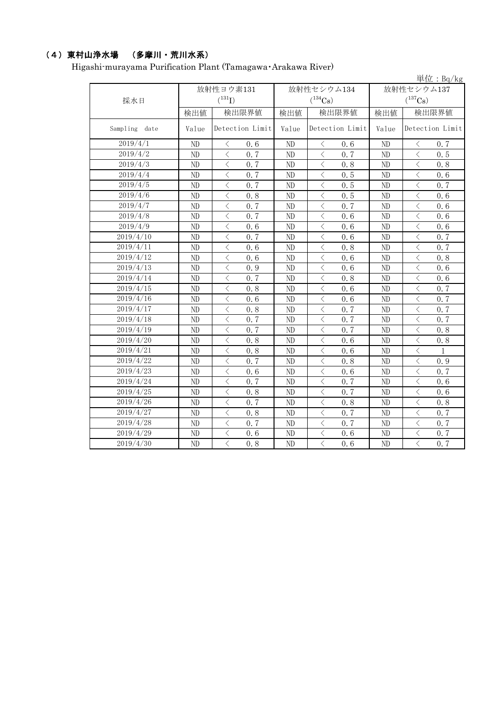# (4)東村山浄水場 (多摩川・荒川水系)

Higashi-murayama Purification Plant (Tamagawa・Arakawa River)

|               |           |                                                 |       |                                                  |            | 単位: $Bq/kg$                                                                                                                                                          |
|---------------|-----------|-------------------------------------------------|-------|--------------------------------------------------|------------|----------------------------------------------------------------------------------------------------------------------------------------------------------------------|
|               | 放射性ヨウ素131 |                                                 |       | 放射性セシウム134                                       | 放射性セシウム137 |                                                                                                                                                                      |
| 採水日           |           | $(^{131}I)$                                     |       | $(^{134}\mathrm{Cs})$                            |            | $(^{137}\mathrm{Cs})$                                                                                                                                                |
|               | 検出値       | 検出限界値                                           | 検出値   | 検出限界値                                            | 検出値        | 検出限界値                                                                                                                                                                |
| Sampling date | Value     | Detection Limit                                 | Value | Detection Limit                                  | Value      | Detection Limit                                                                                                                                                      |
| 2019/4/1      | ND        | $\lt$<br>0.6                                    | ND    | $\lt$<br>0.6                                     | ND         | $\langle$<br>0.7                                                                                                                                                     |
| 2019/4/2      | ND        | $\overline{\langle}$<br>0.7                     | ND    | $\overline{\langle}$<br>0.7                      | ND         | $\langle$<br>0, 5                                                                                                                                                    |
| 2019/4/3      | ND        | $\langle$<br>0.7                                | ND    | $\langle$<br>0.8                                 | ND         | $\langle$<br>0.8                                                                                                                                                     |
| 2019/4/4      | ND        | $\lt$<br>0.7                                    | ND    | $\overline{\langle}$<br>0.5                      | ${\rm ND}$ | $\langle$<br>0.6                                                                                                                                                     |
| 2019/4/5      | ND        | $\langle$<br>0.7                                | ND    | $\langle$<br>0.5                                 | ND         | $\lt$<br>0.7                                                                                                                                                         |
| 2019/4/6      | ND        | $\, \big\langle \,$<br>0.8                      | ND    | $\hspace{0.1mm} <$<br>0.5                        | ND         | $\hspace{0.5cm}\big\langle$<br>0.6                                                                                                                                   |
| 2019/4/7      | ND        | $\langle$<br>0.7                                | ND    | $\overline{\left\langle \right\rangle }$<br>0.7  | ND         | $\overline{\left\langle \right. }% ,\left\langle \overline{\left\langle \right. }% ,\left\langle \overline{\left\langle \right\rangle }\right\rangle \right.$<br>0.6 |
| 2019/4/8      | ND        | $\langle$<br>0.7                                | ND    | $\langle$<br>0.6                                 | ND         | $\lt$<br>0.6                                                                                                                                                         |
| 2019/4/9      | ND        | $\hspace{0.5cm}\mathopen{<}$<br>0.6             | ND    | $\langle$<br>0.6                                 | ND         | $\lt$<br>0.6                                                                                                                                                         |
| 2019/4/10     | ND        | $\langle$<br>0.7                                | ND    | $\langle$<br>0.6                                 | ND         | $\langle$<br>0.7                                                                                                                                                     |
| 2019/4/11     | ND        | $\lt$<br>0.6                                    | ND    | $\,$ $\,$ $\,$<br>0.8                            | $\rm ND$   | $\lt$<br>0.7                                                                                                                                                         |
| 2019/4/12     | ND        | $\langle$<br>0.6                                | ND    | $\langle$<br>0.6                                 | ND         | $\overline{\left\langle \right\rangle }$<br>0.8                                                                                                                      |
| 2019/4/13     | ND        | $\langle$<br>0.9                                | ND    | $\overline{\left\langle \right\rangle }$<br>0, 6 | ND         | $\overline{\langle}$<br>0, 6                                                                                                                                         |
| 2019/4/14     | ND        | $\langle$<br>0.7                                | ND    | $\,$ $\,$ $\,$<br>0.8                            | ND         | $\overline{\left\langle \right\rangle }$<br>0.6                                                                                                                      |
| 2019/4/15     | ND        | $\langle$<br>0.8                                | ND    | $\langle$<br>0.6                                 | ND         | $\overline{\left\langle \right\rangle }$<br>0.7                                                                                                                      |
| 2019/4/16     | ND        | $\overline{\langle}$<br>0.6                     | ND    | $\langle$<br>0.6                                 | ND         | $\langle$<br>0.7                                                                                                                                                     |
| 2019/4/17     | ND        | $\lt$<br>0.8                                    | ND    | $\langle$<br>0.7                                 | ND         | $\langle$<br>0.7                                                                                                                                                     |
| 2019/4/18     | $\rm ND$  | $\lt$<br>0.7                                    | ND    | $\lt$<br>0.7                                     | $\rm ND$   | $\langle$<br>0.7                                                                                                                                                     |
| 2019/4/19     | ND        | $\langle$<br>0.7                                | ND    | $\langle$<br>0.7                                 | ND         | $\overline{\left\langle \right\rangle }$<br>0.8                                                                                                                      |
| 2019/4/20     | ND        | $\lt$<br>0.8                                    | ND    | $\,$ $\,$ $\,$<br>0.6                            | ND         | $\lt$<br>0.8                                                                                                                                                         |
| 2019/4/21     | ND        | $\lt$<br>0.8                                    | ND    | $\langle$<br>0.6                                 | ND         | $\lt$<br>1                                                                                                                                                           |
| 2019/4/22     | ND        | $\lt$<br>0.7                                    | ND    | $\lt$<br>0.8                                     | ND         | $\lt$<br>0.9                                                                                                                                                         |
| 2019/4/23     | ND        | $\langle$<br>0.6                                | ND    | $\hspace{0.1mm} <$<br>0.6                        | ND         | $\langle$<br>0.7                                                                                                                                                     |
| 2019/4/24     | ND        | $\langle$<br>0.7                                | ND    | $\lt$<br>0.7                                     | ND         | $\overline{\left\langle \right\rangle }$<br>0.6                                                                                                                      |
| 2019/4/25     | ND        | $\langle$<br>0.8                                | ND    | $\langle$<br>0.7                                 | ND         | $\lt$<br>0.6                                                                                                                                                         |
| 2019/4/26     | ND        | $\overline{\left\langle \right\rangle }$<br>0.7 | ND    | $\overline{\left\langle \right\rangle }$<br>0.8  | ND         | $\overline{\left\langle \right\rangle }$<br>0.8                                                                                                                      |
| 2019/4/27     | ND        | $\langle$<br>0.8                                | ND    | $\lt$<br>0.7                                     | ND         | $\langle$<br>0.7                                                                                                                                                     |
| 2019/4/28     | ND        | $\langle$<br>0.7                                | ND    | $\langle$<br>0.7                                 | ND         | $\langle$<br>0.7                                                                                                                                                     |
| 2019/4/29     | ND        | $\lt$<br>0.6                                    | ND    | $\lt$<br>0.6                                     | ND         | $\lt$<br>0.7                                                                                                                                                         |
| 2019/4/30     | ND        | $\overline{\langle}$<br>0.8                     | ND    | $\overline{\langle}$<br>0.6                      | ND         | $\overline{\langle}$<br>0.7                                                                                                                                          |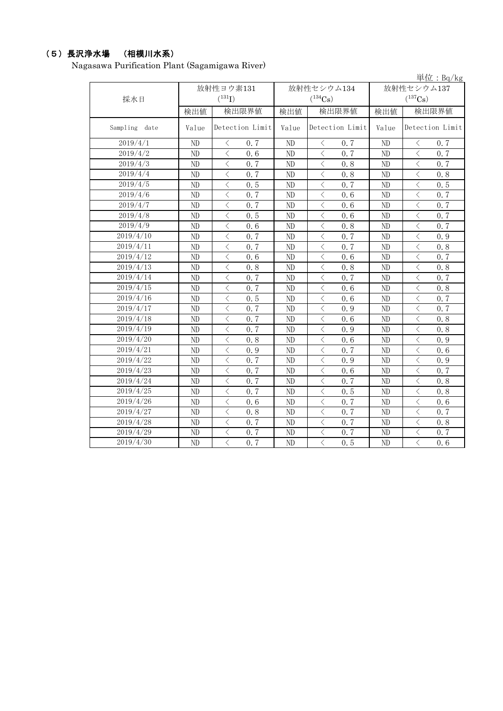## (5)長沢浄水場 (相模川水系)

Nagasawa Purification Plant (Sagamigawa River)

|                  |           |                                                  |                |                             |                | 単位: Bq/kg                                       |
|------------------|-----------|--------------------------------------------------|----------------|-----------------------------|----------------|-------------------------------------------------|
|                  | 放射性ヨウ素131 |                                                  |                | 放射性セシウム134                  | 放射性セシウム137     |                                                 |
| 採水日              |           | $(^{131}I)$                                      |                | $(^{134}Cs)$                |                | $(^{137}Cs)$                                    |
|                  | 検出値       | 検出限界値                                            | 検出値            | 検出限界値                       | 検出値            | 検出限界値                                           |
| Sampling<br>date | Value     | Detection Limit                                  | Value          | Detection Limit             | Value          | Detection Limit                                 |
| 2019/4/1         | ND        | $\langle$<br>0.7                                 | N <sub>D</sub> | $\langle$<br>0.7            | ND             | $\langle$<br>0.7                                |
| 2019/4/2         | ND        | $\langle$<br>0, 6                                | ND             | $\langle$<br>0.7            | N <sub>D</sub> | $\langle$<br>0, 7                               |
| 2019/4/3         | ND        | $\langle$<br>0.7                                 | ND             | $\langle$<br>0.8            | ND             | $\overline{\left\langle \right\rangle }$<br>0.7 |
| 2019/4/4         | ND        | $\langle$<br>0.7                                 | ND             | $\langle$<br>0.8            | ND             | $\overline{\left\langle \right\rangle }$<br>0.8 |
| 2019/4/5         | ND        | $\,$ $\,$ $\,$<br>0.5                            | ND             | $\overline{\langle}$<br>0.7 | ND             | $\overline{\langle}$<br>0.5                     |
| 2019/4/6         | ND        | $\langle$<br>0.7                                 | ND             | $\,$ $\,$ $\,$<br>0.6       | ND             | $\langle$<br>0.7                                |
| 2019/4/7         | ND        | $\, < \,$<br>0.7                                 | ND             | $\lt$<br>0.6                | ND             | $\lt$<br>0.7                                    |
| 2019/4/8         | ND        | $\,$ $\,$ $\,$<br>0.5                            | ND             | $\overline{\langle}$<br>0.6 | ND             | $\langle$<br>0.7                                |
| 2019/4/9         | ND        | $\langle$<br>0.6                                 | ND             | $\langle$<br>0.8            | ND             | $\overline{\left\langle \right\rangle }$<br>0.7 |
| 2019/4/10        | ND        | $\langle$<br>0.7                                 | ND             | $\langle$<br>0.7            | ND             | $\langle$<br>0.9                                |
| 2019/4/11        | ND        | $\langle$<br>0.7                                 | ND             | $\overline{\langle}$<br>0.7 | ND             | $\langle$<br>0.8                                |
| 2019/4/12        | ND        | $\lt$<br>0.6                                     | ND             | $\lt$<br>0.6                | ND             | $\lt$<br>0.7                                    |
| 2019/4/13        | ND        | $\lt$<br>0.8                                     | ND             | $\,$ $\,$ $\,$<br>0.8       | ND             | $\langle$<br>0.8                                |
| 2019/4/14        | ND        | $\lt$<br>0.7                                     | ND             | $\langle$<br>0.7            | ND             | $\lt$<br>0.7                                    |
| 2019/4/15        | ND        | $\lt$<br>0.7                                     | ND             | $\lt$<br>0.6                | ND             | $\hspace{0.1mm} <\hspace{0.1mm}$<br>0.8         |
| 2019/4/16        | ND        | $\langle$<br>0.5                                 | ND             | $\lt$<br>0.6                | ND             | $\langle$<br>0, 7                               |
| 2019/4/17        | ND        | $\lt$<br>0, 7                                    | ND             | $\langle$<br>0.9            | ND             | $\langle$<br>0.7                                |
| 2019/4/18        | ND        | $\langle$<br>0.7                                 | ND             | $\langle$<br>0.6            | ND             | $\langle$<br>0.8                                |
| 2019/4/19        | ND        | $\langle$<br>0.7                                 | ND             | $\langle$<br>0.9            | ND             | $\langle$<br>0.8                                |
| 2019/4/20        | $\rm ND$  | $\langle$<br>0.8                                 | ND             | $\lt$<br>0.6                | ND             | $\lt$<br>0.9                                    |
| 2019/4/21        | ND        | $\lt$<br>0.9                                     | ND             | $\,$ $\,$ $\,$<br>0.7       | ND             | $\lt$<br>0.6                                    |
| 2019/4/22        | ND        | $\lt$<br>0.7                                     | ND             | $\lt$<br>0.9                | ND             | $\lt$<br>0.9                                    |
| 2019/4/23        | ND        | $\langle$<br>0, 7                                | ND             | $\langle$<br>0.6            | ND             | $\langle$<br>0.7                                |
| 2019/4/24        | ND        | $\langle$<br>0.7                                 | ND             | $\,$ $\,$ $\,$<br>0.7       | ND             | $\langle$<br>0.8                                |
| 2019/4/25        | ND        | $\langle$<br>0, 7                                | ND             | $\langle$<br>0.5            | ND             | $\overline{\langle}$<br>0.8                     |
| 2019/4/26        | ND        | $\langle$<br>0.6                                 | ND             | $\langle$<br>0.7            | ND             | $\overline{\left\langle \right\rangle }$<br>0.6 |
| 2019/4/27        | ND        | $\langle$<br>0.8                                 | ND             | $\lt$<br>0.7                | ND             | $\langle$<br>0.7                                |
| 2019/4/28        | ND        | $\overline{\langle}$<br>0, 7                     | ND             | $\overline{\langle}$<br>0.7 | ND             | $\overline{\langle}$<br>0.8                     |
| 2019/4/29        | ND        | $\langle$<br>0.7                                 | ND             | $\lt$<br>0.7                | ND             | $\langle$<br>0.7                                |
| 2019/4/30        | ND        | $\overline{\left\langle \right\rangle }$<br>0, 7 | ND             | $\langle$<br>0.5            | ND             | $\overline{\left\langle \right\rangle }$<br>0.6 |